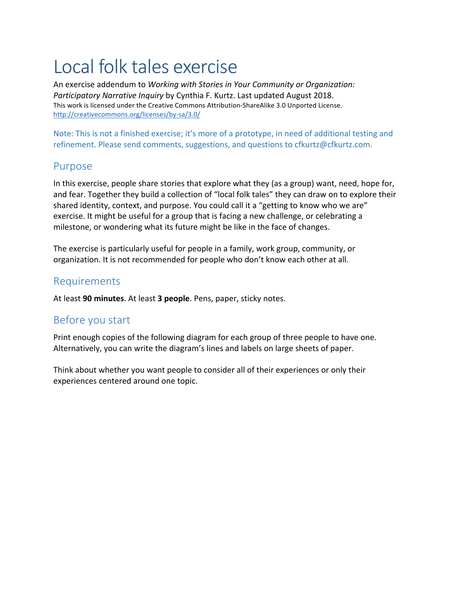# Local folk tales exercise

An exercise addendum to *Working with Stories in Your Community or Organization: Participatory Narrative Inquiry* by Cynthia F. Kurtz. Last updated August 2018. This work is licensed under the Creative Commons Attribution-ShareAlike 3.0 Unported License. http://creativecommons.org/licenses/by-sa/3.0/

Note: This is not a finished exercise; it's more of a prototype, in need of additional testing and refinement. Please send comments, suggestions, and questions to cfkurtz@cfkurtz.com.

## Purpose

In this exercise, people share stories that explore what they (as a group) want, need, hope for, and fear. Together they build a collection of "local folk tales" they can draw on to explore their shared identity, context, and purpose. You could call it a "getting to know who we are" exercise. It might be useful for a group that is facing a new challenge, or celebrating a milestone, or wondering what its future might be like in the face of changes.

The exercise is particularly useful for people in a family, work group, community, or organization. It is not recommended for people who don't know each other at all.

## Requirements

At least 90 minutes. At least 3 people. Pens, paper, sticky notes.

# Before you start

Print enough copies of the following diagram for each group of three people to have one. Alternatively, you can write the diagram's lines and labels on large sheets of paper.

Think about whether you want people to consider all of their experiences or only their experiences centered around one topic.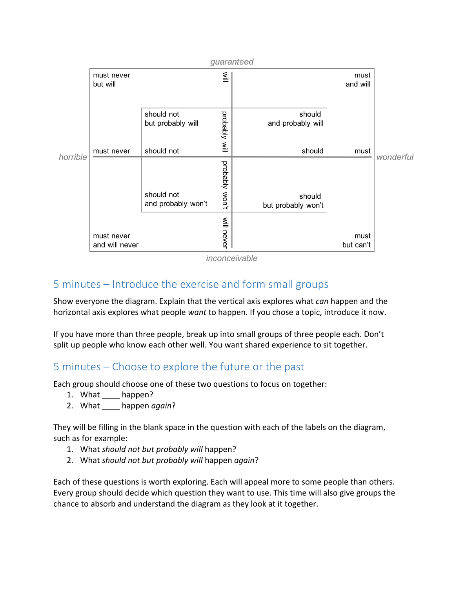

inconceivable

## 5 minutes – Introduce the exercise and form small groups

Show everyone the diagram. Explain that the vertical axis explores what *can* happen and the horizontal axis explores what people want to happen. If you chose a topic, introduce it now.

If you have more than three people, break up into small groups of three people each. Don't split up people who know each other well. You want shared experience to sit together.

## 5 minutes – Choose to explore the future or the past

Each group should choose one of these two questions to focus on together:

- 1. What happen?
- 2. What happen *again*?

They will be filling in the blank space in the question with each of the labels on the diagram, such as for example:

- 1. What *should not but probably will* happen?
- 2. What *should not but probably will* happen *again*?

Each of these questions is worth exploring. Each will appeal more to some people than others. Every group should decide which question they want to use. This time will also give groups the chance to absorb and understand the diagram as they look at it together.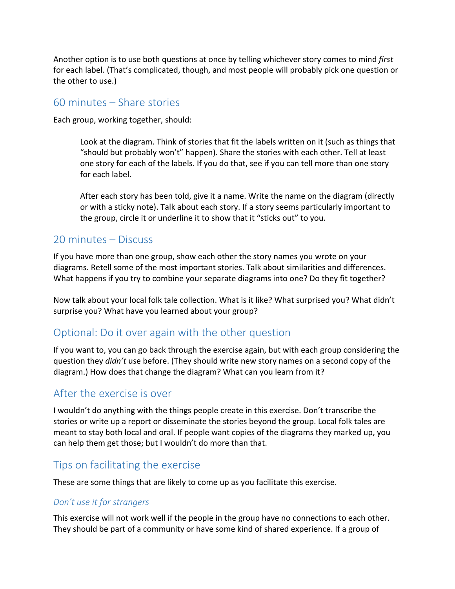Another option is to use both questions at once by telling whichever story comes to mind *first* for each label. (That's complicated, though, and most people will probably pick one question or the other to use.)

## $60$  minutes  $-$  Share stories

Each group, working together, should:

Look at the diagram. Think of stories that fit the labels written on it (such as things that "should but probably won't" happen). Share the stories with each other. Tell at least one story for each of the labels. If you do that, see if you can tell more than one story for each label.

After each story has been told, give it a name. Write the name on the diagram (directly or with a sticky note). Talk about each story. If a story seems particularly important to the group, circle it or underline it to show that it "sticks out" to you.

## 20 minutes - Discuss

If you have more than one group, show each other the story names you wrote on your diagrams. Retell some of the most important stories. Talk about similarities and differences. What happens if you try to combine your separate diagrams into one? Do they fit together?

Now talk about your local folk tale collection. What is it like? What surprised you? What didn't surprise you? What have you learned about your group?

## Optional: Do it over again with the other question

If you want to, you can go back through the exercise again, but with each group considering the question they *didn't* use before. (They should write new story names on a second copy of the diagram.) How does that change the diagram? What can you learn from it?

## After the exercise is over

I wouldn't do anything with the things people create in this exercise. Don't transcribe the stories or write up a report or disseminate the stories beyond the group. Local folk tales are meant to stay both local and oral. If people want copies of the diagrams they marked up, you can help them get those; but I wouldn't do more than that.

# Tips on facilitating the exercise

These are some things that are likely to come up as you facilitate this exercise.

#### *Don't use it for strangers*

This exercise will not work well if the people in the group have no connections to each other. They should be part of a community or have some kind of shared experience. If a group of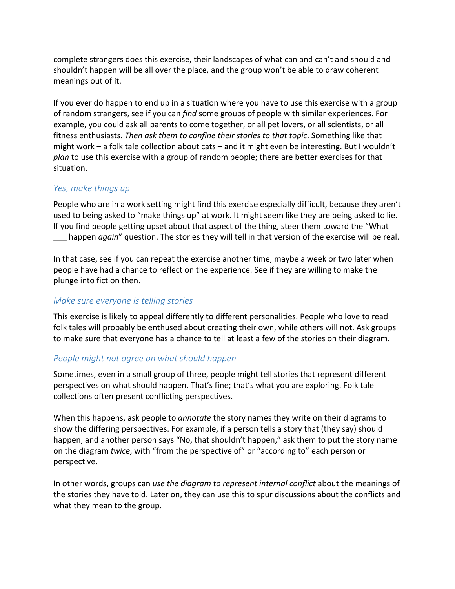complete strangers does this exercise, their landscapes of what can and can't and should and shouldn't happen will be all over the place, and the group won't be able to draw coherent meanings out of it.

If you ever do happen to end up in a situation where you have to use this exercise with a group of random strangers, see if you can *find* some groups of people with similar experiences. For example, you could ask all parents to come together, or all pet lovers, or all scientists, or all fitness enthusiasts. *Then ask them to confine their stories to that topic*. Something like that might work – a folk tale collection about cats – and it might even be interesting. But I wouldn't *plan* to use this exercise with a group of random people; there are better exercises for that situation.

#### Yes, make things up

People who are in a work setting might find this exercise especially difficult, because they aren't used to being asked to "make things up" at work. It might seem like they are being asked to lie. If you find people getting upset about that aspect of the thing, steer them toward the "What **\_\_\_** happen *again*" question. The stories they will tell in that version of the exercise will be real.

In that case, see if you can repeat the exercise another time, maybe a week or two later when people have had a chance to reflect on the experience. See if they are willing to make the plunge into fiction then.

#### *Make sure everyone is telling stories*

This exercise is likely to appeal differently to different personalities. People who love to read folk tales will probably be enthused about creating their own, while others will not. Ask groups to make sure that everyone has a chance to tell at least a few of the stories on their diagram.

#### *People might not agree on what should happen*

Sometimes, even in a small group of three, people might tell stories that represent different perspectives on what should happen. That's fine; that's what you are exploring. Folk tale collections often present conflicting perspectives.

When this happens, ask people to *annotate* the story names they write on their diagrams to show the differing perspectives. For example, if a person tells a story that (they say) should happen, and another person says "No, that shouldn't happen," ask them to put the story name on the diagram *twice*, with "from the perspective of" or "according to" each person or perspective. 

In other words, groups can *use the diagram to represent internal conflict* about the meanings of the stories they have told. Later on, they can use this to spur discussions about the conflicts and what they mean to the group.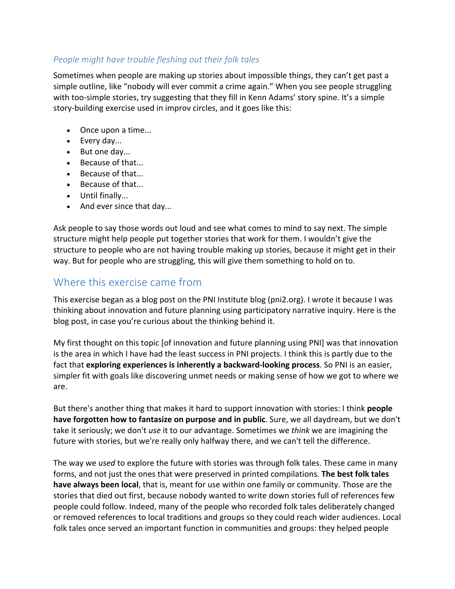#### People might have trouble fleshing out their folk tales

Sometimes when people are making up stories about impossible things, they can't get past a simple outline, like "nobody will ever commit a crime again." When you see people struggling with too-simple stories, try suggesting that they fill in Kenn Adams' story spine. It's a simple story-building exercise used in improv circles, and it goes like this:

- Once upon a time...
- Every day...
- $\bullet$  But one day...
- Because of that...
- Because of that...
- Because of that...
- Until finally...
- And ever since that day...

Ask people to say those words out loud and see what comes to mind to say next. The simple structure might help people put together stories that work for them. I wouldn't give the structure to people who are not having trouble making up stories, because it might get in their way. But for people who are struggling, this will give them something to hold on to.

# Where this exercise came from

This exercise began as a blog post on the PNI Institute blog (pni2.org). I wrote it because I was thinking about innovation and future planning using participatory narrative inquiry. Here is the blog post, in case you're curious about the thinking behind it.

My first thought on this topic [of innovation and future planning using PNI] was that innovation is the area in which I have had the least success in PNI projects. I think this is partly due to the fact that **exploring experiences is inherently a backward-looking process**. So PNI is an easier, simpler fit with goals like discovering unmet needs or making sense of how we got to where we are.

But there's another thing that makes it hard to support innovation with stories: I think **people have forgotten how to fantasize on purpose and in public**. Sure, we all daydream, but we don't take it seriously; we don't *use* it to our advantage. Sometimes we *think* we are imagining the future with stories, but we're really only halfway there, and we can't tell the difference.

The way we *used* to explore the future with stories was through folk tales. These came in many forms, and not just the ones that were preserved in printed compilations. The best folk tales **have always been local**, that is, meant for use within one family or community. Those are the stories that died out first, because nobody wanted to write down stories full of references few people could follow. Indeed, many of the people who recorded folk tales deliberately changed or removed references to local traditions and groups so they could reach wider audiences. Local folk tales once served an important function in communities and groups: they helped people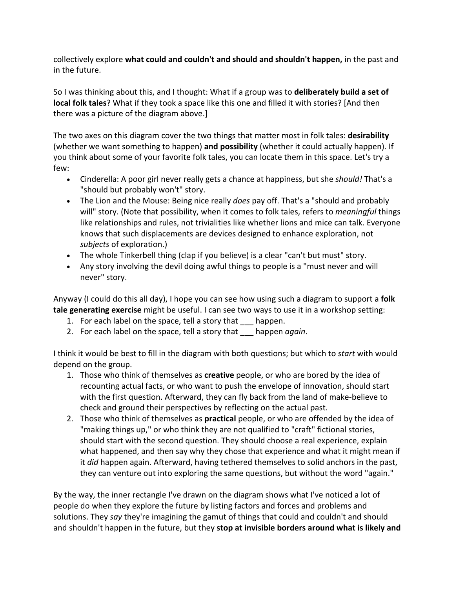collectively explore **what could and couldn't and should and shouldn't happen**, in the past and in the future.

So I was thinking about this, and I thought: What if a group was to **deliberately build a set of local folk tales**? What if they took a space like this one and filled it with stories? [And then there was a picture of the diagram above.]

The two axes on this diagram cover the two things that matter most in folk tales: **desirability** (whether we want something to happen) and possibility (whether it could actually happen). If you think about some of your favorite folk tales, you can locate them in this space. Let's try a few:

- Cinderella: A poor girl never really gets a chance at happiness, but she *should!* That's a "should but probably won't" story.
- The Lion and the Mouse: Being nice really *does* pay off. That's a "should and probably will" story. (Note that possibility, when it comes to folk tales, refers to *meaningful* things like relationships and rules, not trivialities like whether lions and mice can talk. Everyone knows that such displacements are devices designed to enhance exploration, not subjects of exploration.)
- The whole Tinkerbell thing (clap if you believe) is a clear "can't but must" story.
- Any story involving the devil doing awful things to people is a "must never and will never" story.

Anyway (I could do this all day), I hope you can see how using such a diagram to support a **folk tale generating exercise** might be useful. I can see two ways to use it in a workshop setting:

- 1. For each label on the space, tell a story that <u>equilippen</u>.
- 2. For each label on the space, tell a story that happen *again*.

I think it would be best to fill in the diagram with both questions; but which to *start* with would depend on the group.

- 1. Those who think of themselves as **creative** people, or who are bored by the idea of recounting actual facts, or who want to push the envelope of innovation, should start with the first question. Afterward, they can fly back from the land of make-believe to check and ground their perspectives by reflecting on the actual past.
- 2. Those who think of themselves as **practical** people, or who are offended by the idea of "making things up," or who think they are not qualified to "craft" fictional stories, should start with the second question. They should choose a real experience, explain what happened, and then say why they chose that experience and what it might mean if it *did* happen again. Afterward, having tethered themselves to solid anchors in the past, they can venture out into exploring the same questions, but without the word "again."

By the way, the inner rectangle I've drawn on the diagram shows what I've noticed a lot of people do when they explore the future by listing factors and forces and problems and solutions. They *say* they're imagining the gamut of things that could and couldn't and should and shouldn't happen in the future, but they stop at invisible borders around what is likely and